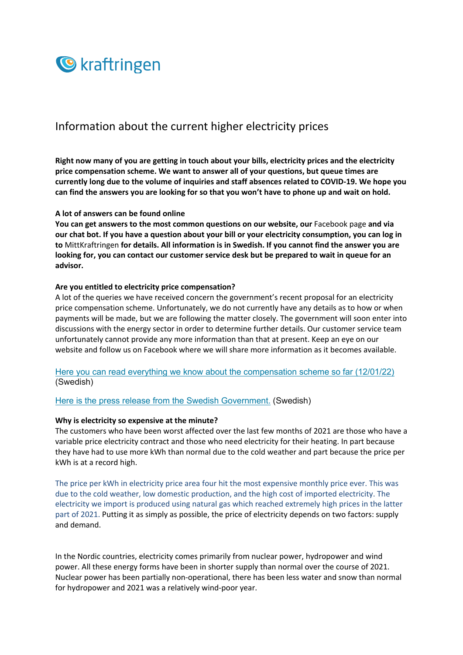

# Information about the current higher electricity prices

**Right now many of you are getting in touch about your bills, electricity prices and the electricity price compensation scheme. We want to answer all of your questions, but queue times are currently long due to the volume of inquiries and staff absences related to COVID-19. We hope you can find the answers you are looking for so that you won't have to phone up and wait on hold.** 

#### **A lot of answers can be found online**

**You can get answers to the most common questions on our website, our** Facebook page **and via our chat bot. If you have a question about your bill or your electricity consumption, you can log in to** MittKraftringen **for details. All information is in Swedish. If you cannot find the answer you are looking for, you can contact our customer service desk but be prepared to wait in queue for an advisor.**

#### **Are you entitled to electricity price compensation?**

A lot of the queries we have received concern the government's recent proposal for an electricity price compensation scheme. Unfortunately, we do not currently have any details as to how or when payments will be made, but we are following the matter closely. The government will soon enter into discussions with the energy sector in order to determine further details. Our customer service team unfortunately cannot provide any more information than that at present. Keep an eye on our website and follow us on Facebook where we will share more information as it becomes available.

Here you can read everything we know about the compensation scheme so far (12/01/22) (Swedish)

Here is the press release from the Swedish Government. (Swedish)

#### **Why is electricity so expensive at the minute?**

The customers who have been worst affected over the last few months of 2021 are those who have a variable price electricity contract and those who need electricity for their heating. In part because they have had to use more kWh than normal due to the cold weather and part because the price per kWh is at a record high.

The price per kWh in electricity price area four hit the most expensive monthly price ever. This was due to the cold weather, low domestic production, and the high cost of imported electricity. The electricity we import is produced using natural gas which reached extremely high prices in the latter part of 2021. Putting it as simply as possible, the price of electricity depends on two factors: supply and demand.

In the Nordic countries, electricity comes primarily from nuclear power, hydropower and wind power. All these energy forms have been in shorter supply than normal over the course of 2021. Nuclear power has been partially non-operational, there has been less water and snow than normal for hydropower and 2021 was a relatively wind-poor year.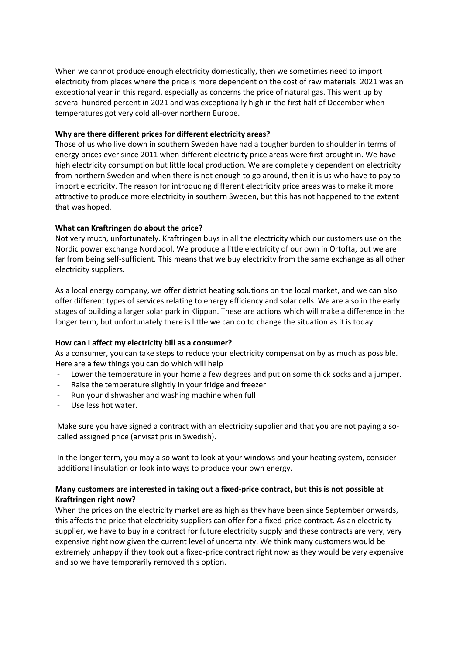When we cannot produce enough electricity domestically, then we sometimes need to import electricity from places where the price is more dependent on the cost of raw materials. 2021 was an exceptional year in this regard, especially as concerns the price of natural gas. This went up by several hundred percent in 2021 and was exceptionally high in the first half of December when temperatures got very cold all-over northern Europe.

# **Why are there different prices for different electricity areas?**

Those of us who live down in southern Sweden have had a tougher burden to shoulder in terms of energy prices ever since 2011 when different electricity price areas were first brought in. We have high electricity consumption but little local production. We are completely dependent on electricity from northern Sweden and when there is not enough to go around, then it is us who have to pay to import electricity. The reason for introducing different electricity price areas was to make it more attractive to produce more electricity in southern Sweden, but this has not happened to the extent that was hoped.

# **What can Kraftringen do about the price?**

Not very much, unfortunately. Kraftringen buys in all the electricity which our customers use on the Nordic power exchange Nordpool. We produce a little electricity of our own in Örtofta, but we are far from being self-sufficient. This means that we buy electricity from the same exchange as all other electricity suppliers.

As a local energy company, we offer district heating solutions on the local market, and we can also offer different types of services relating to energy efficiency and solar cells. We are also in the early stages of building a larger solar park in Klippan. These are actions which will make a difference in the longer term, but unfortunately there is little we can do to change the situation as it is today.

## **How can I affect my electricity bill as a consumer?**

As a consumer, you can take steps to reduce your electricity compensation by as much as possible. Here are a few things you can do which will help

- Lower the temperature in your home a few degrees and put on some thick socks and a jumper.
- Raise the temperature slightly in your fridge and freezer
- Run your dishwasher and washing machine when full
- Use less hot water.

Make sure you have signed a contract with an electricity supplier and that you are not paying a socalled assigned price (anvisat pris in Swedish).

In the longer term, you may also want to look at your windows and your heating system, consider additional insulation or look into ways to produce your own energy.

# **Many customers are interested in taking out a fixed-price contract, but this is not possible at Kraftringen right now?**

When the prices on the electricity market are as high as they have been since September onwards, this affects the price that electricity suppliers can offer for a fixed-price contract. As an electricity supplier, we have to buy in a contract for future electricity supply and these contracts are very, very expensive right now given the current level of uncertainty. We think many customers would be extremely unhappy if they took out a fixed-price contract right now as they would be very expensive and so we have temporarily removed this option.